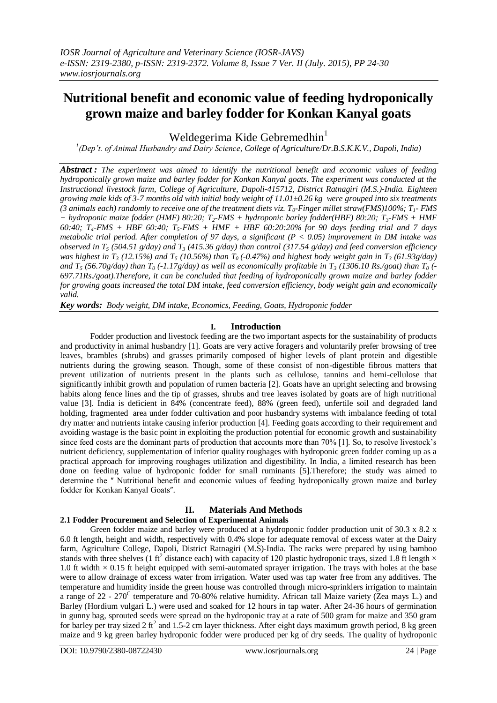# **Nutritional benefit and economic value of feeding hydroponically grown maize and barley fodder for Konkan Kanyal goats**

Weldegerima Kide Gebremedhin $<sup>1</sup>$ </sup>

*1 (Dep't. of Animal Husbandry and Dairy Science, College of Agriculture/Dr.B.S.K.K.V., Dapoli, India)*

*Abstract : The experiment was aimed to identify the nutritional benefit and economic values of feeding hydroponically grown maize and barley fodder for Konkan Kanyal goats. The experiment was conducted at the Instructional livestock farm, College of Agriculture, Dapoli-415712, District Ratnagiri (M.S.)-India. Eighteen growing male kids of 3-7 months old with initial body weight of 11.01±0.26 kg were grouped into six treatments (3 animals each) randomly to receive one of the treatment diets viz. T0-Finger millet straw(FMS)100%; T1- FMS + hydroponic maize fodder (HMF) 80:20; T2-FMS + hydroponic barley fodder(HBF) 80:20; T3-FMS + HMF 60:40; T4-FMS + HBF 60:40; T5-FMS + HMF + HBF 60:20:20% for 90 days feeding trial and 7 days metabolic trial period. After completion of 97 days, a significant (P < 0.05) improvement in DM intake was observed in T<sup>5</sup> (504.51 g/day) and T<sup>3</sup> (415.36 g/day) than control (317.54 g/day) and feed conversion efficiency was highest in*  $T_3$  (12.15%) and  $T_5$  (10.56%) than  $T_0$  (-0.47%) and highest body weight gain in  $T_3$  (61.93g/day) *and*  $T_5$  (56.70g/day) than  $T_0$  (-1.17g/day) as well as economically profitable in  $T_3$  (1306.10 Rs./goat) than  $T_0$  (-*697.71Rs./goat).Therefore, it can be concluded that feeding of hydroponically grown maize and barley fodder for growing goats increased the total DM intake, feed conversion efficiency, body weight gain and economically valid.*

*Key words: Body weight, DM intake, Economics, Feeding, Goats, Hydroponic fodder*

#### **I. Introduction**

Fodder production and livestock feeding are the two important aspects for the sustainability of products and productivity in animal husbandry [1]. Goats are very active foragers and voluntarily prefer browsing of tree leaves, brambles (shrubs) and grasses primarily composed of higher levels of plant protein and digestible nutrients during the growing season. Though, some of these consist of non-digestible fibrous matters that prevent utilization of nutrients present in the plants such as cellulose, tannins and hemi-cellulose that significantly inhibit growth and population of rumen bacteria [2]. Goats have an upright selecting and browsing habits along fence lines and the tip of grasses, shrubs and tree leaves isolated by goats are of high nutritional value [3]. India is deficient in 84% (concentrate feed), 88% (green feed), unfertile soil and degraded land holding, fragmented area under fodder cultivation and poor husbandry systems with imbalance feeding of total dry matter and nutrients intake causing inferior production [4]. Feeding goats according to their requirement and avoiding wastage is the basic point in exploiting the production potential for economic growth and sustainability since feed costs are the dominant parts of production that accounts more than 70% [1]. So, to resolve livestock's nutrient deficiency, supplementation of inferior quality roughages with hydroponic green fodder coming up as a practical approach for improving roughages utilization and digestibility. In India, a limited research has been done on feeding value of hydroponic fodder for small ruminants [5].Therefore; the study was aimed to determine the "Nutritional benefit and economic values of feeding hydroponically grown maize and barley fodder for Konkan Kanyal Goats".

# **II. Materials And Methods**

# **2.1 Fodder Procurement and Selection of Experimental Animals**

Green fodder maize and barley were produced at a hydroponic fodder production unit of 30.3 x 8.2 x 6.0 ft length, height and width, respectively with 0.4% slope for adequate removal of excess water at the Dairy farm, Agriculture College, Dapoli, District Ratnagiri (M.S)-India. The racks were prepared by using bamboo stands with three shelves (1 ft<sup>2</sup> distance each) with capacity of 120 plastic hydroponic trays, sized 1.8 ft length  $\times$ 1.0 ft width  $\times$  0.15 ft height equipped with semi-automated sprayer irrigation. The trays with holes at the base were to allow drainage of excess water from irrigation. Water used was tap water free from any additives. The temperature and humidity inside the green house was controlled through micro-sprinklers irrigation to maintain a range of 22 -  $270^{\circ}$  temperature and 70-80% relative humidity. African tall Maize variety (Zea mays L.) and Barley (Hordium vulgari L.) were used and soaked for 12 hours in tap water. After 24-36 hours of germination in gunny bag, sprouted seeds were spread on the hydroponic tray at a rate of 500 gram for maize and 350 gram for barley per tray sized 2 ft<sup>2</sup> and 1.5-2 cm layer thickness. After eight days maximum growth period, 8 kg green maize and 9 kg green barley hydroponic fodder were produced per kg of dry seeds. The quality of hydroponic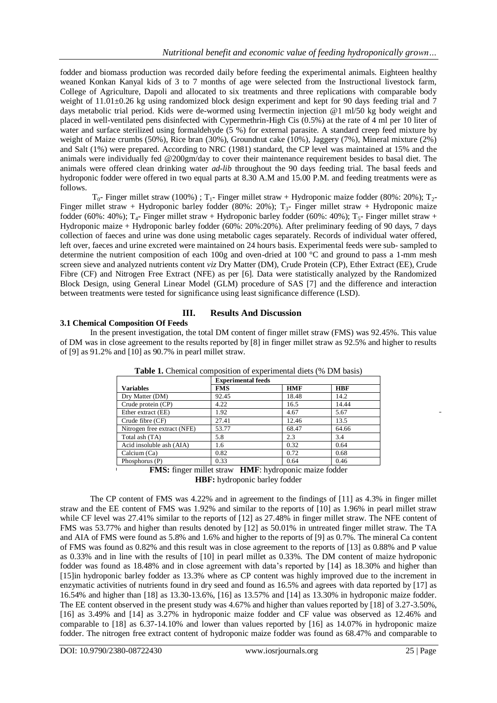fodder and biomass production was recorded daily before feeding the experimental animals. Eighteen healthy weaned Konkan Kanyal kids of 3 to 7 months of age were selected from the Instructional livestock farm, College of Agriculture, Dapoli and allocated to six treatments and three replications with comparable body weight of 11.01±0.26 kg using randomized block design experiment and kept for 90 days feeding trial and 7 days metabolic trial period. Kids were de-wormed using Ivermectin injection @1 ml/50 kg body weight and placed in well-ventilated pens disinfected with Cypermethrin-High Cis (0.5%) at the rate of 4 ml per 10 liter of water and surface sterilized using formaldehyde (5 %) for external parasite. A standard creep feed mixture by weight of Maize crumbs (50%), Rice bran (30%), Groundnut cake (10%), Jaggery (7%), Mineral mixture (2%) and Salt (1%) were prepared. According to NRC (1981) standard, the CP level was maintained at 15% and the animals were individually fed @200gm/day to cover their maintenance requirement besides to basal diet. The animals were offered clean drinking water *ad-lib* throughout the 90 days feeding trial. The basal feeds and hydroponic fodder were offered in two equal parts at 8.30 A.M and 15.00 P.M. and feeding treatments were as follows.

 $T_{0}$ - Finger millet straw (100%);  $T_{1}$ - Finger millet straw + Hydroponic maize fodder (80%: 20%);  $T_{2}$ -Finger millet straw + Hydroponic barley fodder (80%: 20%);  $T_3$ - Finger millet straw + Hydroponic maize fodder (60%: 40%); T<sub>4</sub>- Finger millet straw + Hydroponic barley fodder (60%: 40%); T<sub>5</sub>- Finger millet straw + Hydroponic maize + Hydroponic barley fodder (60%: 20%:20%). After preliminary feeding of 90 days, 7 days collection of faeces and urine was done using metabolic cages separately. Records of individual water offered, left over, faeces and urine excreted were maintained on 24 hours basis. Experimental feeds were sub- sampled to determine the nutrient composition of each 100g and oven-dried at 100 °C and ground to pass a 1-mm mesh screen sieve and analyzed nutrients content *viz* Dry Matter (DM), Crude Protein (CP), Ether Extract (EE), Crude Fibre (CF) and Nitrogen Free Extract (NFE) as per [6]. Data were statistically analyzed by the Randomized Block Design, using General Linear Model (GLM) procedure of SAS [7] and the difference and interaction between treatments were tested for significance using least significance difference (LSD).

# **III. Results And Discussion**

# **3.1 Chemical Composition Of Feeds**

In the present investigation, the total DM content of finger millet straw (FMS) was 92.45%. This value of DM was in close agreement to the results reported by [8] in finger millet straw as 92.5% and higher to results of [9] as 91.2% and [10] as 90.7% in pearl millet straw.

|                                                                                                                       | <b>Experimental feeds</b> |            |            |  |  |  |  |
|-----------------------------------------------------------------------------------------------------------------------|---------------------------|------------|------------|--|--|--|--|
| <b>Variables</b>                                                                                                      | <b>FMS</b>                | <b>HMF</b> | <b>HBF</b> |  |  |  |  |
| Dry Matter (DM)                                                                                                       | 92.45                     | 18.48      | 14.2       |  |  |  |  |
| Crude protein (CP)                                                                                                    | 4.22                      | 16.5       | 14.44      |  |  |  |  |
| Ether extract (EE)                                                                                                    | 1.92                      | 4.67       | 5.67       |  |  |  |  |
| Crude fibre (CF)                                                                                                      | 27.41                     | 12.46      | 13.5       |  |  |  |  |
| Nitrogen free extract (NFE)                                                                                           | 53.77                     | 68.47      | 64.66      |  |  |  |  |
| Total ash (TA)                                                                                                        | 5.8                       | 2.3        | 3.4        |  |  |  |  |
| Acid insoluble ash (AIA)                                                                                              | 1.6                       | 0.32       | 0.64       |  |  |  |  |
| Calcium (Ca)                                                                                                          | 0.82                      | 0.72       | 0.68       |  |  |  |  |
| Phosphorus (P)                                                                                                        | 0.33                      | 0.64       | 0.46       |  |  |  |  |
| $\mathbf{r}$<br>٠<br>$\sim$<br>$\sim$ $\sim$<br>$-1$<br><b>WWW.FWW.F</b><br>$\sim$ $\sim$ $\sim$ $\sim$ $\sim$ $\sim$ |                           |            |            |  |  |  |  |

**Table 1.** Chemical composition of experimental diets (% DM basis)

**FMS:** finger millet straw **HMF**: hydroponic maize fodder **HBF:** hydroponic barley fodder

The CP content of FMS was 4.22% and in agreement to the findings of [11] as 4.3% in finger millet straw and the EE content of FMS was 1.92% and similar to the reports of [10] as 1.96% in pearl millet straw while CF level was 27.41% similar to the reports of [12] as 27.48% in finger millet straw. The NFE content of FMS was 53.77% and higher than results denoted by [12] as 50.01% in untreated finger millet straw. The TA and AIA of FMS were found as 5.8% and 1.6% and higher to the reports of [9] as 0.7%. The mineral Ca content of FMS was found as 0.82% and this result was in close agreement to the reports of [13] as 0.88% and P value as 0.33% and in line with the results of [10] in pearl millet as 0.33%. The DM content of maize hydroponic fodder was found as 18.48% and in close agreement with data's reported by [14] as 18.30% and higher than [15]in hydroponic barley fodder as 13.3% where as CP content was highly improved due to the increment in enzymatic activities of nutrients found in dry seed and found as 16.5% and agrees with data reported by [17] as 16.54% and higher than [18] as 13.30-13.6%, [16] as 13.57% and [14] as 13.30% in hydroponic maize fodder. The EE content observed in the present study was 4.67% and higher than values reported by [18] of 3.27-3.50%, [16] as 3.49% and [14] as 3.27% in hydroponic maize fodder and CF value was observed as 12.46% and comparable to [18] as 6.37-14.10% and lower than values reported by [16] as 14.07% in hydroponic maize fodder. The nitrogen free extract content of hydroponic maize fodder was found as 68.47% and comparable to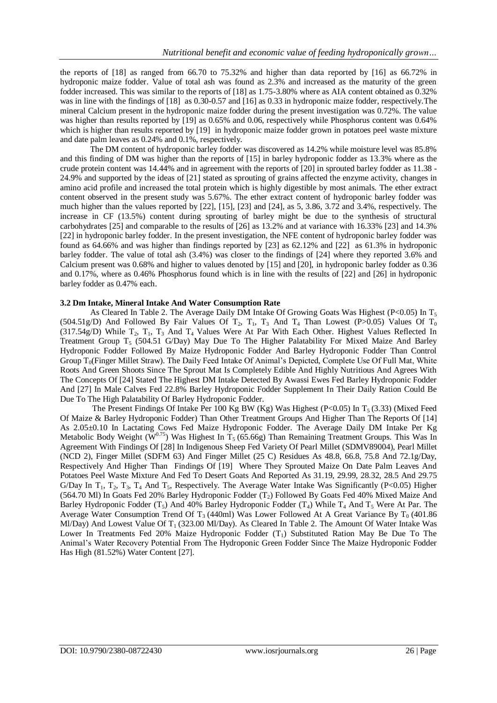the reports of [18] as ranged from 66.70 to 75.32% and higher than data reported by [16] as 66.72% in hydroponic maize fodder. Value of total ash was found as 2.3% and increased as the maturity of the green fodder increased. This was similar to the reports of [18] as 1.75-3.80% where as AIA content obtained as 0.32% was in line with the findings of [18] as 0.30-0.57 and [16] as 0.33 in hydroponic maize fodder, respectively. The mineral Calcium present in the hydroponic maize fodder during the present investigation was 0.72%. The value was higher than results reported by [19] as 0.65% and 0.06, respectively while Phosphorus content was 0.64% which is higher than results reported by [19] in hydroponic maize fodder grown in potatoes peel waste mixture and date palm leaves as 0.24% and 0.1%, respectively.

The DM content of hydroponic barley fodder was discovered as 14.2% while moisture level was 85.8% and this finding of DM was higher than the reports of [15] in barley hydroponic fodder as 13.3% where as the crude protein content was 14.44% and in agreement with the reports of [20] in sprouted barley fodder as 11.38 - 24.9% and supported by the ideas of [21] stated as sprouting of grains affected the enzyme activity, changes in amino acid profile and increased the total protein which is highly digestible by most animals. The ether extract content observed in the present study was 5.67%. The ether extract content of hydroponic barley fodder was much higher than the values reported by [22], [15], [23] and [24], as 5, 3.86, 3.72 and 3.4%, respectively. The increase in CF (13.5%) content during sprouting of barley might be due to the synthesis of structural carbohydrates [25] and comparable to the results of [26] as 13.2% and at variance with 16.33% [23] and 14.3% [22] in hydroponic barley fodder. In the present investigation, the NFE content of hydroponic barley fodder was found as 64.66% and was higher than findings reported by [23] as 62.12% and [22] as 61.3% in hydroponic barley fodder. The value of total ash (3.4%) was closer to the findings of [24] where they reported 3.6% and Calcium present was 0.68% and higher to values denoted by [15] and [20], in hydroponic barley fodder as 0.36 and 0.17%, where as 0.46% Phosphorus found which is in line with the results of [22] and [26] in hydroponic barley fodder as 0.47% each.

#### **3.2 Dm Intake, Mineral Intake And Water Consumption Rate**

As Cleared In Table 2. The Average Daily DM Intake Of Growing Goats Was Highest (P<0.05) In  $T_5$ (504.51g/D) And Followed By Fair Values Of  $T_2$ ,  $T_1$ ,  $T_3$  And  $T_4$  Than Lowest (P>0.05) Values Of  $T_0$  $(317.54g/D)$  While T<sub>2</sub>, T<sub>1</sub>, T<sub>3</sub> And T<sub>4</sub> Values Were At Par With Each Other. Highest Values Reflected In Treatment Group  $T_5$  (504.51 G/Day) May Due To The Higher Palatability For Mixed Maize And Barley Hydroponic Fodder Followed By Maize Hydroponic Fodder And Barley Hydroponic Fodder Than Control Group  $T_0$ (Finger Millet Straw). The Daily Feed Intake Of Animal's Depicted, Complete Use Of Full Mat, White Roots And Green Shoots Since The Sprout Mat Is Completely Edible And Highly Nutritious And Agrees With The Concepts Of [24] Stated The Highest DM Intake Detected By Awassi Ewes Fed Barley Hydroponic Fodder And [27] In Male Calves Fed 22.8% Barley Hydroponic Fodder Supplement In Their Daily Ration Could Be Due To The High Palatability Of Barley Hydroponic Fodder.

The Present Findings Of Intake Per 100 Kg BW (Kg) Was Highest (P<0.05) In  $T_5$  (3.33) (Mixed Feed Of Maize & Barley Hydroponic Fodder) Than Other Treatment Groups And Higher Than The Reports Of [14] As 2.05±0.10 In Lactating Cows Fed Maize Hydroponic Fodder. The Average Daily DM Intake Per Kg Metabolic Body Weight ( $\widetilde{W}^{0.75}$ ) Was Highest In T<sub>5</sub> (65.66g) Than Remaining Treatment Groups. This Was In Agreement With Findings Of [28] In Indigenous Sheep Fed Variety Of Pearl Millet (SDMV89004), Pearl Millet (NCD 2), Finger Millet (SDFM 63) And Finger Millet (25 C) Residues As 48.8, 66.8, 75.8 And 72.1g/Day, Respectively And Higher Than Findings Of [19] Where They Sprouted Maize On Date Palm Leaves And Potatoes Peel Waste Mixture And Fed To Desert Goats And Reported As 31.19, 29.99, 28.32, 28.5 And 29.75 G/Day In  $T_1$ ,  $T_2$ ,  $T_3$ ,  $T_4$  And  $T_5$ , Respectively. The Average Water Intake Was Significantly (P<0.05) Higher (564.70 Ml) In Goats Fed 20% Barley Hydroponic Fodder  $(T_2)$  Followed By Goats Fed 40% Mixed Maize And Barley Hydroponic Fodder (T<sub>5</sub>) And 40% Barley Hydroponic Fodder (T<sub>4</sub>) While T<sub>4</sub> And T<sub>5</sub> Were At Par. The Average Water Consumption Trend Of T<sub>3</sub> (440ml) Was Lower Followed At A Great Variance By T<sub>0</sub> (401.86) Ml/Day) And Lowest Value Of  $T_1$  (323.00 Ml/Day). As Cleared In Table 2. The Amount Of Water Intake Was Lower In Treatments Fed 20% Maize Hydroponic Fodder  $(T_1)$  Substituted Ration May Be Due To The Animal's Water Recovery Potential From The Hydroponic Green Fodder Since The Maize Hydroponic Fodder Has High (81.52%) Water Content [27].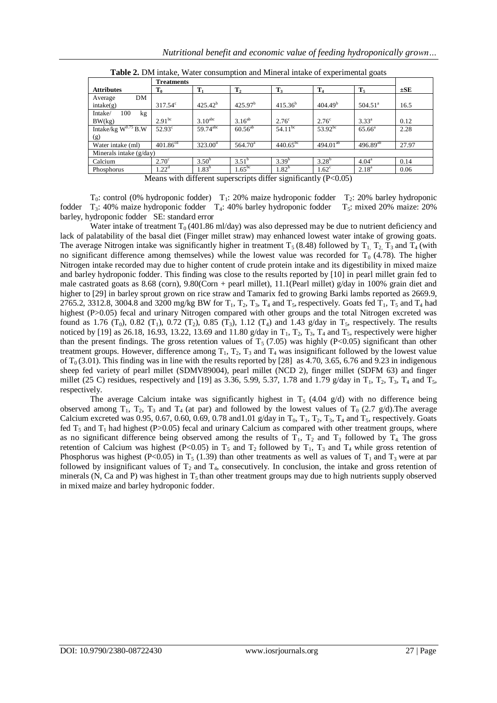|                                 | <b>Treatments</b>    |                        |                            |                   |                      |                     |          |  |
|---------------------------------|----------------------|------------------------|----------------------------|-------------------|----------------------|---------------------|----------|--|
| <b>Attributes</b>               | $T_0$                | $\mathbf{T}_1$         | T <sub>2</sub>             | $T_3$             | T <sub>4</sub>       | $T_5$               | $\pm$ SE |  |
| DM<br>Average<br>intake(g)      | $317.54^{\circ}$     | $425.42^{b}$           | 425.97 <sup>b</sup>        | $415.36^{b}$      | 404.49 <sup>b</sup>  | 504.51 <sup>a</sup> | 16.5     |  |
| 100<br>Intake/<br>kg<br>BW(kg)  | 2.91 <sup>bc</sup>   | $3.10^{\text{abc}}$    | $3.16^{ab}$                | $2.76^{\circ}$    | $2.76^{\circ}$       | $3.33^{a}$          | 0.12     |  |
| Intake/kg $W^{0.75}$ B.W<br>(g) | $52.93^{\circ}$      | $59.74$ <sup>abc</sup> | $60.56^{ab}$               | $54.11^{bc}$      | $53.92^{bc}$         | $65.66^{\circ}$     | 2.28     |  |
| Water intake (ml)               | $401.86^{\text{cd}}$ | $323.00^{\rm d}$       | $564.70^{\circ}$           | $440.65^{bc}$     | 494.01 <sup>ab</sup> | $496.89^{ab}$       | 27.97    |  |
| Minerals intake $(g/day)$       |                      |                        |                            |                   |                      |                     |          |  |
| Calcium                         | $2.70^{\circ}$       | $3.50^{b}$             | $3.51^{b}$                 | $3.39^{b}$        | $3.28^{b}$           | $4.04^{\circ}$      | 0.14     |  |
| Phosphorus<br>_ _               | $1.22^d$             | $1.83^{b}$<br>----     | 1.65 <sup>bc</sup><br>---- | $1.82^{b}$<br>. . | $1.62^{\circ}$       | $2.18^{a}$          | 0.06     |  |

**Table 2.** DM intake, Water consumption and Mineral intake of experimental goats

Means with different superscripts differ significantly (P<0.05)

 $T_0$ : control (0% hydroponic fodder)  $T_1$ : 20% maize hydroponic fodder  $T_2$ : 20% barley hydroponic fodder  $T_3$ : 40% maize hydroponic fodder  $T_4$ : 40% barley hydroponic fodder  $T_5$ : mixed 20% maize: 20% barley, hydroponic fodder SE: standard error

Water intake of treatment  $T_0$  (401.86 ml/day) was also depressed may be due to nutrient deficiency and lack of palatability of the basal diet (Finger millet straw) may enhanced lowest water intake of growing goats. The average Nitrogen intake was significantly higher in treatment  $T_5$  (8.48) followed by  $T_1$ ,  $T_2$ ,  $T_3$  and  $T_4$  (with no significant difference among themselves) while the lowest value was recorded for  $T_0$  (4.78). The higher Nitrogen intake recorded may due to higher content of crude protein intake and its digestibility in mixed maize and barley hydroponic fodder. This finding was close to the results reported by [10] in pearl millet grain fed to male castrated goats as 8.68 (corn), 9.80(Corn + pearl millet), 11.1(Pearl millet) g/day in 100% grain diet and higher to [29] in barley sprout grown on rice straw and Tamarix fed to growing Barki lambs reported as 2669.9, 2765.2, 3312.8, 3004.8 and 3200 mg/kg BW for  $T_1$ ,  $T_2$ ,  $T_3$ ,  $T_4$  and  $T_5$ , respectively. Goats fed  $T_1$ ,  $T_5$  and  $T_4$  had highest (P>0.05) fecal and urinary Nitrogen compared with other groups and the total Nitrogen excreted was found as 1.76 (T<sub>0</sub>), 0.82 (T<sub>1</sub>), 0.72 (T<sub>2</sub>), 0.85 (T<sub>3</sub>), 1.12 (T<sub>4</sub>) and 1.43 g/day in T<sub>5</sub>, respectively. The results noticed by [19] as 26.18, 16.93, 13.22, 13.69 and 11.80 g/day in  $T_1$ ,  $T_2$ ,  $T_3$ ,  $T_4$  and  $T_5$ , respectively were higher than the present findings. The gross retention values of  $T_5$  (7.05) was highly (P<0.05) significant than other treatment groups. However, difference among  $T_1$ ,  $T_2$ ,  $T_3$  and  $T_4$  was insignificant followed by the lowest value of  $T_0$  (3.01). This finding was in line with the results reported by [28] as 4.70, 3.65, 6.76 and 9.23 in indigenous sheep fed variety of pearl millet (SDMV89004), pearl millet (NCD 2), finger millet (SDFM 63) and finger millet (25 C) residues, respectively and [19] as 3.36, 5.99, 5.37, 1.78 and 1.79 g/day in  $T_1$ ,  $T_2$ ,  $T_3$ ,  $T_4$  and  $T_5$ , respectively.

The average Calcium intake was significantly highest in  $T_5$  (4.04 g/d) with no difference being observed among  $T_1$ ,  $T_2$ ,  $T_3$  and  $T_4$  (at par) and followed by the lowest values of  $T_0$  (2.7 g/d). The average Calcium excreted was 0.95, 0.67, 0.60, 0.69, 0.78 and 1.01 g/day in  $T_0$ ,  $T_1$ ,  $T_2$ ,  $T_3$ ,  $T_4$  and  $T_5$ , respectively. Goats fed  $T_5$  and  $T_1$  had highest (P>0.05) fecal and urinary Calcium as compared with other treatment groups, where as no significant difference being observed among the results of  $T_1$ ,  $T_2$  and  $T_3$  followed by  $T_4$ . The gross retention of Calcium was highest (P<0.05) in  $T_5$  and  $T_2$  followed by  $T_1$ ,  $T_3$  and  $T_4$  while gross retention of Phosphorus was highest (P<0.05) in T<sub>5</sub> (1.39) than other treatments as well as values of T<sub>1</sub> and T<sub>3</sub> were at par followed by insignificant values of  $T_2$  and  $T_4$ , consecutively. In conclusion, the intake and gross retention of minerals (N, Ca and P) was highest in  $T_5$  than other treatment groups may due to high nutrients supply observed in mixed maize and barley hydroponic fodder.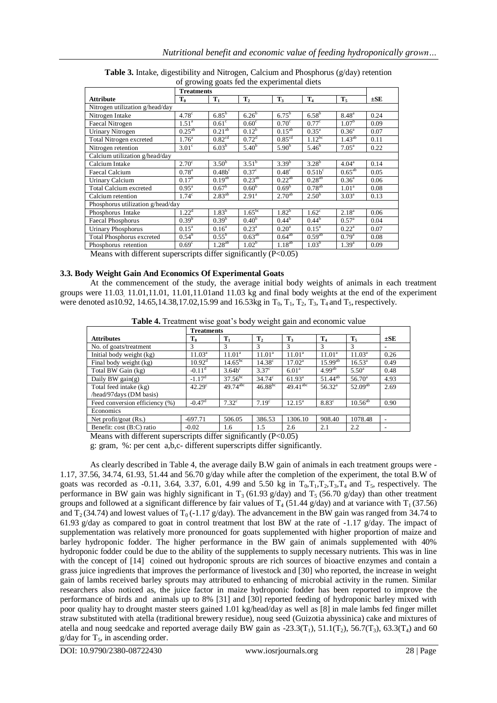| of growing goals fee are experimental dretts |                   |                    |                    |                    |                |                        |          |  |  |  |
|----------------------------------------------|-------------------|--------------------|--------------------|--------------------|----------------|------------------------|----------|--|--|--|
|                                              | <b>Treatments</b> |                    |                    |                    |                |                        |          |  |  |  |
| <b>Attribute</b>                             | $T_0$             | $T_1$              | T <sub>2</sub>     | $T_3$              | T <sub>4</sub> | $T_5$                  | $\pm$ SE |  |  |  |
| Nitrogen utilization g/head/day              |                   |                    |                    |                    |                |                        |          |  |  |  |
| Nitrogen Intake                              | 4.78 <sup>c</sup> | $6.85^{b}$         | $6.26^{b}$         | $6.75^{b}$         | $6.58^{b}$     | $8.48^{a}$             | 0.24     |  |  |  |
| <b>Faecal Nitrogen</b>                       | $1.51^{\circ}$    | $0.61^\circ$       | $0.60^\circ$       | $0.70^{\circ}$     | $0.77^{\circ}$ | $1.07^{6}$             | 0.09     |  |  |  |
| Urinary Nitrogen                             | $0.25^{ab}$       | $0.21^{ab}$        | $0.12^{b}$         | $0.15^{ab}$        | $0.35^{\rm a}$ | $0.36^{\circ}$         | 0.07     |  |  |  |
| Total Nitrogen excreted                      | 1.76 <sup>a</sup> | 0.82 <sup>cd</sup> | 0.72 <sup>d</sup>  | 0.85 <sup>cd</sup> | $1.12^{bc}$    | $1.43^{ab}$            | 0.11     |  |  |  |
| Nitrogen retention                           | $3.01^\circ$      | 6.03 <sup>b</sup>  | 5.40 <sup>b</sup>  | 5.90 <sup>b</sup>  | $5.46^{\rm b}$ | $7.05^{\circ}$         | 0.22     |  |  |  |
| Calcium utilization g/head/day               |                   |                    |                    |                    |                |                        |          |  |  |  |
| Calcium Intake                               | $2.70^{\circ}$    | $3.50^{b}$         | $3.51^{b}$         | $3.39^{b}$         | $3.28^{b}$     | $4.04^{\rm a}$         | 0.14     |  |  |  |
| <b>Faecal Calcium</b>                        | 0.78 <sup>a</sup> | $0.48b^c$          | 0.37 <sup>c</sup>  | $0.48^\circ$       | $0.51b^c$      | $0.65^{\overline{ab}}$ | 0.05     |  |  |  |
| <b>Urinary Calcium</b>                       | 0.17 <sup>b</sup> | $0.19^{ab}$        | $0.23^{ab}$        | $0.22^{ab}$        | $0.28^{ab}$    | $0.36^{\circ}$         | 0.06     |  |  |  |
| Total Calcium excreted                       | $0.95^{\text{a}}$ | $0.67^{\rm b}$     | 0.60 <sup>b</sup>  | 0.69 <sup>b</sup>  | $0.78^{ab}$    | 1.01 <sup>a</sup>      | 0.08     |  |  |  |
| Calcium retention                            | 1.74 <sup>c</sup> | $2.83^{ab}$        | $2.91^{\circ}$     | $2.70^{ab}$        | $2.50^{b}$     | $3.03^{\rm a}$         | 0.13     |  |  |  |
| Phosphorus utilization g/head/day            |                   |                    |                    |                    |                |                        |          |  |  |  |
| Phosphorus Intake                            | $1.22^d$          | $1.83^{b}$         | 1.65 <sup>bc</sup> | $1.82^{b}$         | $1.62^{\circ}$ | $2.18^{a}$             | 0.06     |  |  |  |
| <b>Faecal Phosphorus</b>                     | $0.39^{b}$        | 0.39 <sup>b</sup>  | 0.40 <sup>b</sup>  | $0.44^{b}$         | $0.44^{b}$     | $0.57^{\rm a}$         | 0.04     |  |  |  |
| <b>Urinary Phosphorus</b>                    | $0.15^{\text{a}}$ | $0.16^{\rm a}$     | $0.23^{\rm a}$     | 0.20 <sup>a</sup>  | $0.15^{\rm a}$ | $0.22^{\rm a}$         | 0.07     |  |  |  |
| <b>Total Phosphorus excreted</b>             | $0.54^{\rm b}$    | $0.55^{\rm b}$     | $0.63^{ab}$        | $0.64^{ab}$        | $0.59^{ab}$    | $0.79^{\rm a}$         | 0.08     |  |  |  |
| Phosphorus retention                         | $0.69^\circ$      | $1.28^{ab}$        | 1.02 <sup>b</sup>  | $1.18^{ab}$        | $1.03^{b}$     | $1.39^{a}$             | 0.09     |  |  |  |

**Table 3.** Intake, digestibility and Nitrogen, Calcium and Phosphorus (g/day) retention of growing goats fed the experimental diets

Means with different superscripts differ significantly  $(P<0.05)$ 

#### **3.3. Body Weight Gain And Economics Of Experimental Goats**

At the commencement of the study, the average initial body weights of animals in each treatment groups were 11.03, 11.01,11.01, 11.01,11.01and 11.03 kg and final body weights at the end of the experiment were denoted as 10.92, 14.65,14.38,17.02,15.99 and 16.53kg in  $T_0$ ,  $T_1$ ,  $T_2$ ,  $T_3$ ,  $T_4$  and  $T_5$ , respectively.

|                                |                      | <b>Treatments</b>  |                   |                    |                    |                    |          |
|--------------------------------|----------------------|--------------------|-------------------|--------------------|--------------------|--------------------|----------|
| <b>Attributes</b>              | $T_0$                | $\mathbf{T}_1$     | $T_{2}$           | $\mathbf{T}_3$     | $T_4$              | $T_{5}$            | $\pm$ SE |
| No. of goats/treatment         | 3                    | 3                  | 3                 | 3                  | 3                  | 3                  |          |
| Initial body weight (kg)       | $11.03^{\rm a}$      | 11.01 <sup>a</sup> | $11.01^{\circ}$   | 11.01 <sup>a</sup> | 11.01 <sup>a</sup> | 11.03 <sup>a</sup> | 0.26     |
| Final body weight (kg)         | $10.92^d$            | $14.65^{bc}$       | $14.38^{\circ}$   | $17.02^{\rm a}$    | $15.99^{ab}$       | $16.53^{\circ}$    | 0.49     |
| Total BW Gain (kg)             | $-0.11^d$            | $3.64b^c$          | 3.37 <sup>c</sup> | 6.01 <sup>a</sup>  | $4.99^{ab}$        | $5.50^{\circ}$     | 0.48     |
| Daily BW $gain(g)$             | $-1.17^d$            | $37.56^{bc}$       | $34.74^{\circ}$   | $61.93^{\circ}$    | $51.44^{ab}$       | $56.70^{\circ}$    | 4.93     |
| Total feed intake (kg)         | $42.29^{\circ}$      | $49.74^{abc}$      | $46.88^{bc}$      | $49.41^{abc}$      | $56.32^{a}$        | $52.09^{ab}$       | 2.69     |
| /head/97days (DM basis)        |                      |                    |                   |                    |                    |                    |          |
| Feed conversion efficiency (%) | $-0.47$ <sup>d</sup> | 7.32 <sup>c</sup>  | 7.19 <sup>c</sup> | $12.15^a$          | $8.83^{\circ}$     | $10.56^{ab}$       | 0.90     |
| Economics                      |                      |                    |                   |                    |                    |                    |          |
| Net profit/goat $(Rs.)$        | $-697.71$            | 506.05             | 386.53            | 1306.10            | 908.40             | 1078.48            |          |
| Benefit: cost (B:C) ratio      | $-0.02$              | 1.6                | 1.5               | 2.6                | 2.1                | 2.2                |          |

Means with different superscripts differ significantly (P<0.05)

g: gram, %: per cent a,b,c- different superscripts differ significantly.

As clearly described in Table 4, the average daily B.W gain of animals in each treatment groups were - 1.17, 37.56, 34.74, 61.93, 51.44 and 56.70 g/day while after the completion of the experiment, the total B.W of goats was recorded as -0.11, 3.64, 3.37, 6.01, 4.99 and 5.50 kg in  $T_0, T_1, T_2, T_3, T_4$  and  $T_5$ , respectively. The performance in BW gain was highly significant in T<sub>3</sub> (61.93 g/day) and T<sub>5</sub> (56.70 g/day) than other treatment groups and followed at a significant difference by fair values of  $T_4$  (51.44 g/day) and at variance with  $T_1$  (37.56) and  $T_2$  (34.74) and lowest values of  $T_0$  (-1.17 g/day). The advancement in the BW gain was ranged from 34.74 to 61.93 g/day as compared to goat in control treatment that lost BW at the rate of  $-1.17$  g/day. The impact of supplementation was relatively more pronounced for goats supplemented with higher proportion of maize and barley hydroponic fodder. The higher performance in the BW gain of animals supplemented with 40% hydroponic fodder could be due to the ability of the supplements to supply necessary nutrients. This was in line with the concept of [14] coined out hydroponic sprouts are rich sources of bioactive enzymes and contain a grass juice ingredients that improves the performance of livestock and [30] who reported, the increase in weight gain of lambs received barley sprouts may attributed to enhancing of microbial activity in the rumen. Similar researchers also noticed as, the juice factor in maize hydroponic fodder has been reported to improve the performance of birds and animals up to 8% [31] and [30] reported feeding of hydroponic barley mixed with poor quality hay to drought master steers gained 1.01 kg/head/day as well as [8] in male lambs fed finger millet straw substituted with atella (traditional brewery residue), noug seed (Guizotia abyssinica) cake and mixtures of atella and noug seedcake and reported average daily BW gain as  $-23.3(T_1)$ ,  $51.1(T_2)$ ,  $56.7(T_3)$ ,  $63.3(T_4)$  and 60  $g/day$  for  $T_5$ , in ascending order.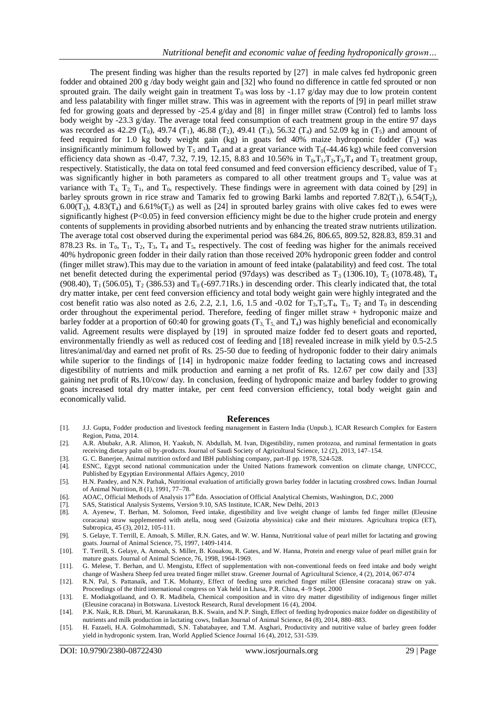The present finding was higher than the results reported by [27] in male calves fed hydroponic green fodder and obtained 200 g /day body weight gain and [32] who found no difference in cattle fed sprouted or non sprouted grain. The daily weight gain in treatment  $T_0$  was loss by -1.17 g/day may due to low protein content and less palatability with finger millet straw. This was in agreement with the reports of [9] in pearl millet straw fed for growing goats and depressed by -25.4 g/day and [8] in finger millet straw (Control) fed to lambs loss body weight by -23.3 g/day. The average total feed consumption of each treatment group in the entire 97 days was recorded as 42.29 (T<sub>0</sub>), 49.74 (T<sub>1</sub>), 46.88 (T<sub>2</sub>), 49.41 (T<sub>3</sub>), 56.32 (T<sub>4</sub>) and 52.09 kg in (T<sub>5</sub>) and amount of feed required for 1.0 kg body weight gain (kg) in goats fed 40% maize hydroponic fodder  $(T_3)$  was insignificantly minimum followed by  $T_5$  and  $T_4$  and at a great variance with  $T_0$ (-44.46 kg) while feed conversion efficiency data shown as -0.47, 7.32, 7.19, 12.15, 8.83 and 10.56% in  $T_0, T_1, T_2, T_3, T_4$  and  $T_5$  treatment group, respectively. Statistically, the data on total feed consumed and feed conversion efficiency described, value of  $T_3$ was significantly higher in both parameters as compared to all other treatment groups and  $T<sub>5</sub>$  value was at variance with  $T_4$ ,  $T_2$ ,  $T_1$ , and  $T_0$ , respectively. These findings were in agreement with data coined by [29] in barley sprouts grown in rice straw and Tamarix fed to growing Barki lambs and reported 7.82( $T_1$ ), 6.54( $T_2$ ), 6.00 $(T_3)$ , 4.83 $(T_4)$  and 6.61% $(T_5)$  as well as [24] in sprouted barley grains with olive cakes fed to ewes were significantly highest (P<0.05) in feed conversion efficiency might be due to the higher crude protein and energy contents of supplements in providing absorbed nutrients and by enhancing the treated straw nutrients utilization. The average total cost observed during the experimental period was 684.26, 806.65, 809.52, 828.83, 859.31 and 878.23 Rs. in  $T_0$ ,  $T_1$ ,  $T_2$ ,  $T_3$ ,  $T_4$  and  $T_5$ , respectively. The cost of feeding was higher for the animals received 40% hydroponic green fodder in their daily ration than those received 20% hydroponic green fodder and control (finger millet straw).This may due to the variation in amount of feed intake (palatability) and feed cost. The total net benefit detected during the experimental period (97days) was described as  $T_3$  (1306.10),  $T_5$  (1078.48),  $T_4$ (908.40),  $T_1$  (506.05),  $T_2$  (386.53) and  $T_0$  (-697.71Rs.) in descending order. This clearly indicated that, the total dry matter intake, per cent feed conversion efficiency and total body weight gain were highly integrated and the cost benefit ratio was also noted as 2.6, 2.2, 2.1, 1.6, 1.5 and -0.02 for  $T_3, T_5, T_4, T_1, T_2$  and  $T_0$  in descending order throughout the experimental period. Therefore, feeding of finger millet straw + hydroponic maize and barley fodder at a proportion of 60:40 for growing goats  $(T_3, T_5,$  and  $T_4)$  was highly beneficial and economically valid. Agreement results were displayed by [19] in sprouted maize fodder fed to desert goats and reported, environmentally friendly as well as reduced cost of feeding and [18] revealed increase in milk yield by 0.5-2.5 litres/animal/day and earned net profit of Rs. 25-50 due to feeding of hydroponic fodder to their dairy animals while superior to the findings of [14] in hydroponic maize fodder feeding to lactating cows and increased digestibility of nutrients and milk production and earning a net profit of Rs. 12.67 per cow daily and [33] gaining net profit of Rs.10/cow/ day. In conclusion, feeding of hydroponic maize and barley fodder to growing goats increased total dry matter intake, per cent feed conversion efficiency, total body weight gain and economically valid.

#### **References**

- [1]. J.J. Gupta, Fodder production and livestock feeding management in Eastern India (Unpub.), ICAR Research Complex for Eastern Region, Patna, 2014.
- [2]. A.R. Abubakr, A.R. Alimon, H. Yaakub, N. Abdullah, M. Ivan, Digestibility, rumen protozoa, and ruminal fermentation in goats receiving dietary palm oil by-products. Journal of Saudi Society of Agricultural Science, 12 (2), 2013, 147–154.
- [3]. G. C. Banerjee, Animal nutrition oxford and IBH publishing company, part-II pp. 1978, 524-528.
- [4]. ESNC, Egypt second national communication under the United Nations framework convention on climate change, UNFCCC, Published by Egyptian Environmental Affairs Agency, 2010
- [5]. H.N. Pandey, and N.N. Pathak, Nutritional evaluation of artificially grown barley fodder in lactating crossbred cows. Indian Journal of Animal Nutrition, 8 (1), 1991, 77–78.
- [6]. AOAC, Official Methods of Analysis 17<sup>th</sup> Edn. Association of Official Analytical Chemists, Washington, D.C, 2000
- [7]. SAS, Statistical Analysis Systems, Version 9.10, SAS Institute, ICAR, New Delhi, 2013
- [8]. A. Ayenew, T. Berhan, M. Solomon, Feed intake, digestibility and live weight change of lambs fed finger millet (Eleusine coracana) straw supplemented with atella, noug seed (Guizotia abyssinica) cake and their mixtures. Agricultura tropica (ET), Subtropica, 45 (3), 2012, 105-111.
- [9]. S. Gelaye, T. Terrill, E. Amoah, S. Miller, R.N. Gates, and W. W. Hanna, Nutritional value of pearl millet for lactating and growing goats. Journal of Animal Science, 75, 1997, 1409-1414.
- [10]. T. Terrill, S. Gelaye, A. Amoah, S. Miller, B. Kouakou, R. Gates, and W. Hanna, Protein and energy value of pearl millet grain for mature goats. Journal of Animal Science, 76, 1998, 1964-1969.
- [11]. G. Melese, T. Berhan, and U. Mengistu, Effect of supplementation with non-conventional feeds on feed intake and body weight change of Washera Sheep fed urea treated finger millet straw. Greener Journal of Agricultural Science, 4 (2), 2014, 067-074
- [12]. R.N. Pal, S. Pattanaik, and T.K. Mohanty, Effect of feeding urea enriched finger millet (Elensine coracana) straw on yak. Proceedings of the third international congress on Yak held in Lhasa, P.R. China, 4–9 Sept. 2000
- [13]. E. Modiakgotlaand, and O. R. Madibela, Chemical composition and in vitro dry matter digestibility of indigenous finger millet (Eleusine coracana) in Botswana. Livestock Research, Rural development 16 (4), 2004.
- [14]. P.K. Naik, R.B. Dhuri, M. Karunakaran, B.K. Swain, and N.P. Singh, Effect of feeding hydroponics maize fodder on digestibility of nutrients and milk production in lactating cows, Indian Journal of Animal Science, 84 (8), 2014, 880–883.
- [15]. H. Fazaeli, H.A. Golmohammadi, S.N. Tabatabayee, and T.M. Asghari, Productivity and nutritive value of barley green fodder yield in hydroponic system. Iran, World Applied Science Journal 16 (4), 2012, 531-539.